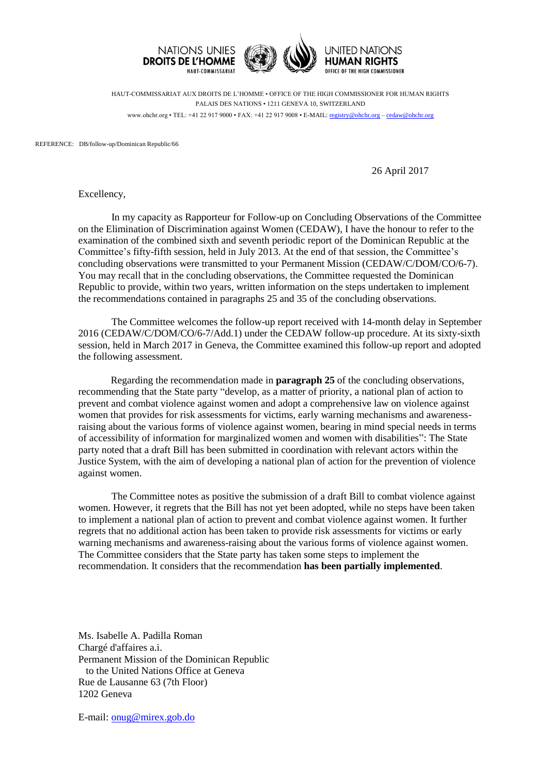

HAUT-COMMISSARIAT AUX DROITS DE L'HOMME • OFFICE OF THE HIGH COMMISSIONER FOR HUMAN RIGHTS PALAIS DES NATIONS • 1211 GENEVA 10, SWITZERLAND www.ohchr.org • TEL: +41 22 917 9000 • FAX: +41 22 917 9008 • E-MAIL: [registry@ohchr.org](mailto:registry@ohchr.org) – [cedaw@ohchr.org](mailto:cedaw@ohchr.org)

REFERENCE: DB/follow-up/Dominican Republic/66

26 April 2017

Excellency,

In my capacity as Rapporteur for Follow-up on Concluding Observations of the Committee on the Elimination of Discrimination against Women (CEDAW), I have the honour to refer to the examination of the combined sixth and seventh periodic report of the Dominican Republic at the Committee's fifty-fifth session, held in July 2013. At the end of that session, the Committee's concluding observations were transmitted to your Permanent Mission (CEDAW/C/DOM/CO/6-7). You may recall that in the concluding observations, the Committee requested the Dominican Republic to provide, within two years, written information on the steps undertaken to implement the recommendations contained in paragraphs 25 and 35 of the concluding observations.

The Committee welcomes the follow-up report received with 14-month delay in September 2016 (CEDAW/C/DOM/CO/6-7/Add.1) under the CEDAW follow-up procedure. At its sixty-sixth session, held in March 2017 in Geneva, the Committee examined this follow-up report and adopted the following assessment.

Regarding the recommendation made in **paragraph 25** of the concluding observations, recommending that the State party "develop, as a matter of priority, a national plan of action to prevent and combat violence against women and adopt a comprehensive law on violence against women that provides for risk assessments for victims, early warning mechanisms and awarenessraising about the various forms of violence against women, bearing in mind special needs in terms of accessibility of information for marginalized women and women with disabilities": The State party noted that a draft Bill has been submitted in coordination with relevant actors within the Justice System, with the aim of developing a national plan of action for the prevention of violence against women.

The Committee notes as positive the submission of a draft Bill to combat violence against women. However, it regrets that the Bill has not yet been adopted, while no steps have been taken to implement a national plan of action to prevent and combat violence against women. It further regrets that no additional action has been taken to provide risk assessments for victims or early warning mechanisms and awareness-raising about the various forms of violence against women. The Committee considers that the State party has taken some steps to implement the recommendation. It considers that the recommendation **has been partially implemented**.

Ms. Isabelle A. Padilla Roman Chargé d'affaires a.i. Permanent Mission of the Dominican Republic to the United Nations Office at Geneva Rue de Lausanne 63 (7th Floor) 1202 Geneva

E-mail: [onug@mirex.gob.do](mailto:onug@mirex.gob.do)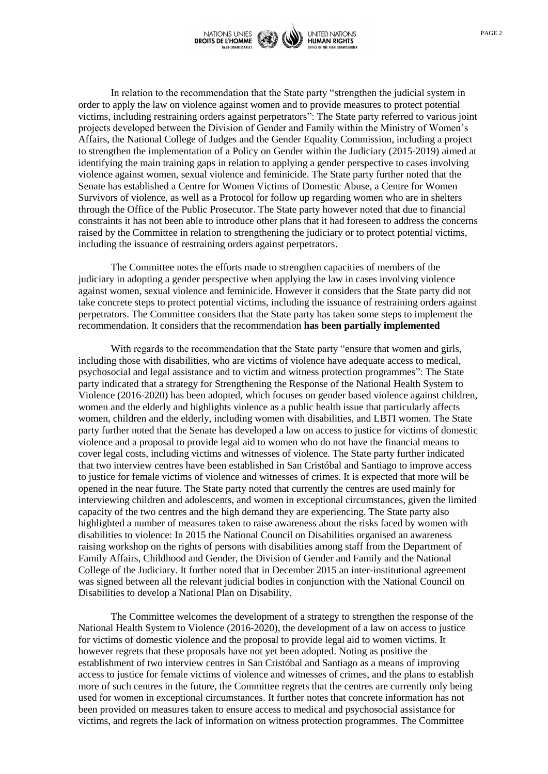

In relation to the recommendation that the State party "strengthen the judicial system in order to apply the law on violence against women and to provide measures to protect potential victims, including restraining orders against perpetrators": The State party referred to various joint projects developed between the Division of Gender and Family within the Ministry of Women's Affairs, the National College of Judges and the Gender Equality Commission, including a project to strengthen the implementation of a Policy on Gender within the Judiciary (2015-2019) aimed at identifying the main training gaps in relation to applying a gender perspective to cases involving violence against women, sexual violence and feminicide. The State party further noted that the Senate has established a Centre for Women Victims of Domestic Abuse, a Centre for Women Survivors of violence, as well as a Protocol for follow up regarding women who are in shelters through the Office of the Public Prosecutor. The State party however noted that due to financial constraints it has not been able to introduce other plans that it had foreseen to address the concerns raised by the Committee in relation to strengthening the judiciary or to protect potential victims, including the issuance of restraining orders against perpetrators.

The Committee notes the efforts made to strengthen capacities of members of the judiciary in adopting a gender perspective when applying the law in cases involving violence against women, sexual violence and feminicide. However it considers that the State party did not take concrete steps to protect potential victims, including the issuance of restraining orders against perpetrators. The Committee considers that the State party has taken some steps to implement the recommendation. It considers that the recommendation **has been partially implemented**

With regards to the recommendation that the State party "ensure that women and girls, including those with disabilities, who are victims of violence have adequate access to medical, psychosocial and legal assistance and to victim and witness protection programmes": The State party indicated that a strategy for Strengthening the Response of the National Health System to Violence (2016-2020) has been adopted, which focuses on gender based violence against children, women and the elderly and highlights violence as a public health issue that particularly affects women, children and the elderly, including women with disabilities, and LBTI women. The State party further noted that the Senate has developed a law on access to justice for victims of domestic violence and a proposal to provide legal aid to women who do not have the financial means to cover legal costs, including victims and witnesses of violence. The State party further indicated that two interview centres have been established in San Cristóbal and Santiago to improve access to justice for female victims of violence and witnesses of crimes. It is expected that more will be opened in the near future. The State party noted that currently the centres are used mainly for interviewing children and adolescents, and women in exceptional circumstances, given the limited capacity of the two centres and the high demand they are experiencing. The State party also highlighted a number of measures taken to raise awareness about the risks faced by women with disabilities to violence: In 2015 the National Council on Disabilities organised an awareness raising workshop on the rights of persons with disabilities among staff from the Department of Family Affairs, Childhood and Gender, the Division of Gender and Family and the National College of the Judiciary. It further noted that in December 2015 an inter-institutional agreement was signed between all the relevant judicial bodies in conjunction with the National Council on Disabilities to develop a National Plan on Disability.

The Committee welcomes the development of a strategy to strengthen the response of the National Health System to Violence (2016-2020), the development of a law on access to justice for victims of domestic violence and the proposal to provide legal aid to women victims. It however regrets that these proposals have not yet been adopted. Noting as positive the establishment of two interview centres in San Cristóbal and Santiago as a means of improving access to justice for female victims of violence and witnesses of crimes, and the plans to establish more of such centres in the future, the Committee regrets that the centres are currently only being used for women in exceptional circumstances. It further notes that concrete information has not been provided on measures taken to ensure access to medical and psychosocial assistance for victims, and regrets the lack of information on witness protection programmes. The Committee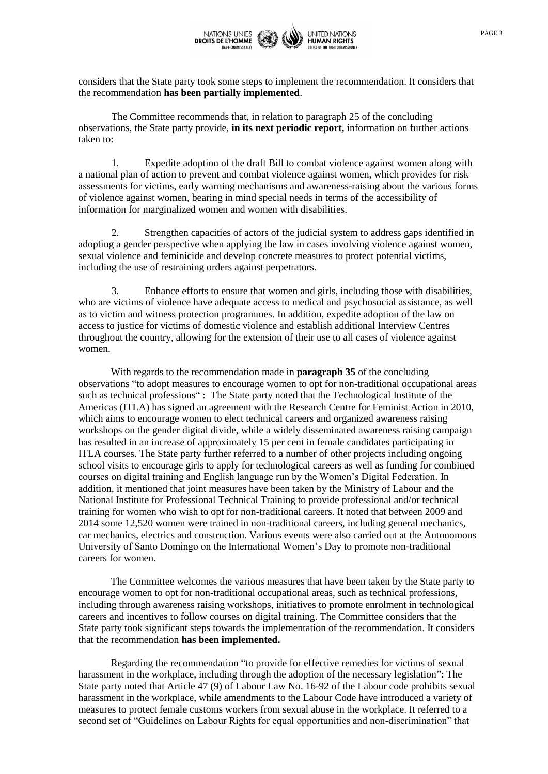

considers that the State party took some steps to implement the recommendation. It considers that the recommendation **has been partially implemented**.

The Committee recommends that, in relation to paragraph 25 of the concluding observations, the State party provide, **in its next periodic report,** information on further actions taken to:

1. Expedite adoption of the draft Bill to combat violence against women along with a national plan of action to prevent and combat violence against women, which provides for risk assessments for victims, early warning mechanisms and awareness-raising about the various forms of violence against women, bearing in mind special needs in terms of the accessibility of information for marginalized women and women with disabilities.

2. Strengthen capacities of actors of the judicial system to address gaps identified in adopting a gender perspective when applying the law in cases involving violence against women, sexual violence and feminicide and develop concrete measures to protect potential victims, including the use of restraining orders against perpetrators.

3. Enhance efforts to ensure that women and girls, including those with disabilities, who are victims of violence have adequate access to medical and psychosocial assistance, as well as to victim and witness protection programmes. In addition, expedite adoption of the law on access to justice for victims of domestic violence and establish additional Interview Centres throughout the country, allowing for the extension of their use to all cases of violence against women.

With regards to the recommendation made in **paragraph 35** of the concluding observations "to adopt measures to encourage women to opt for non-traditional occupational areas such as technical professions" : The State party noted that the Technological Institute of the Americas (ITLA) has signed an agreement with the Research Centre for Feminist Action in 2010, which aims to encourage women to elect technical careers and organized awareness raising workshops on the gender digital divide, while a widely disseminated awareness raising campaign has resulted in an increase of approximately 15 per cent in female candidates participating in ITLA courses. The State party further referred to a number of other projects including ongoing school visits to encourage girls to apply for technological careers as well as funding for combined courses on digital training and English language run by the Women's Digital Federation. In addition, it mentioned that joint measures have been taken by the Ministry of Labour and the National Institute for Professional Technical Training to provide professional and/or technical training for women who wish to opt for non-traditional careers. It noted that between 2009 and 2014 some 12,520 women were trained in non-traditional careers, including general mechanics, car mechanics, electrics and construction. Various events were also carried out at the Autonomous University of Santo Domingo on the International Women's Day to promote non-traditional careers for women.

The Committee welcomes the various measures that have been taken by the State party to encourage women to opt for non-traditional occupational areas, such as technical professions, including through awareness raising workshops, initiatives to promote enrolment in technological careers and incentives to follow courses on digital training. The Committee considers that the State party took significant steps towards the implementation of the recommendation. It considers that the recommendation **has been implemented.**

Regarding the recommendation "to provide for effective remedies for victims of sexual harassment in the workplace, including through the adoption of the necessary legislation": The State party noted that Article 47 (9) of Labour Law No. 16-92 of the Labour code prohibits sexual harassment in the workplace, while amendments to the Labour Code have introduced a variety of measures to protect female customs workers from sexual abuse in the workplace. It referred to a second set of "Guidelines on Labour Rights for equal opportunities and non-discrimination" that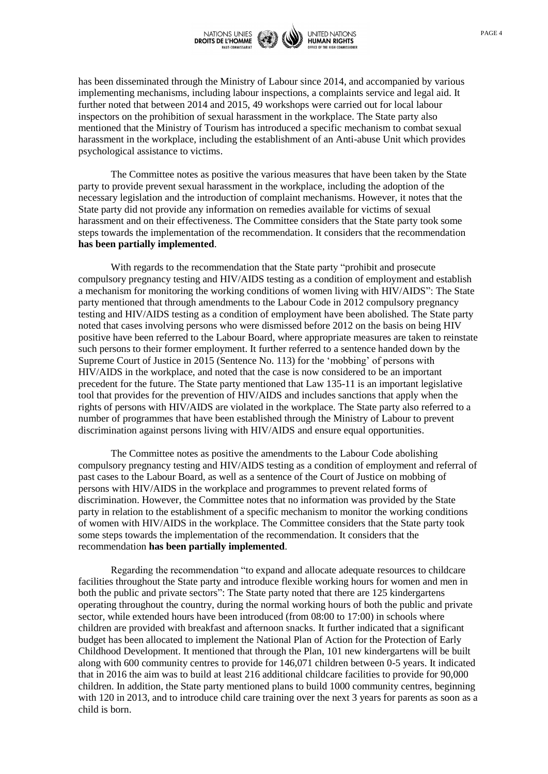

has been disseminated through the Ministry of Labour since 2014, and accompanied by various implementing mechanisms, including labour inspections, a complaints service and legal aid. It further noted that between 2014 and 2015, 49 workshops were carried out for local labour inspectors on the prohibition of sexual harassment in the workplace. The State party also mentioned that the Ministry of Tourism has introduced a specific mechanism to combat sexual harassment in the workplace, including the establishment of an Anti-abuse Unit which provides psychological assistance to victims.

The Committee notes as positive the various measures that have been taken by the State party to provide prevent sexual harassment in the workplace, including the adoption of the necessary legislation and the introduction of complaint mechanisms. However, it notes that the State party did not provide any information on remedies available for victims of sexual harassment and on their effectiveness. The Committee considers that the State party took some steps towards the implementation of the recommendation. It considers that the recommendation **has been partially implemented**.

With regards to the recommendation that the State party "prohibit and prosecute compulsory pregnancy testing and HIV/AIDS testing as a condition of employment and establish a mechanism for monitoring the working conditions of women living with HIV/AIDS": The State party mentioned that through amendments to the Labour Code in 2012 compulsory pregnancy testing and HIV/AIDS testing as a condition of employment have been abolished. The State party noted that cases involving persons who were dismissed before 2012 on the basis on being HIV positive have been referred to the Labour Board, where appropriate measures are taken to reinstate such persons to their former employment. It further referred to a sentence handed down by the Supreme Court of Justice in 2015 (Sentence No. 113) for the 'mobbing' of persons with HIV/AIDS in the workplace, and noted that the case is now considered to be an important precedent for the future. The State party mentioned that Law 135-11 is an important legislative tool that provides for the prevention of HIV/AIDS and includes sanctions that apply when the rights of persons with HIV/AIDS are violated in the workplace. The State party also referred to a number of programmes that have been established through the Ministry of Labour to prevent discrimination against persons living with HIV/AIDS and ensure equal opportunities.

The Committee notes as positive the amendments to the Labour Code abolishing compulsory pregnancy testing and HIV/AIDS testing as a condition of employment and referral of past cases to the Labour Board, as well as a sentence of the Court of Justice on mobbing of persons with HIV/AIDS in the workplace and programmes to prevent related forms of discrimination. However, the Committee notes that no information was provided by the State party in relation to the establishment of a specific mechanism to monitor the working conditions of women with HIV/AIDS in the workplace. The Committee considers that the State party took some steps towards the implementation of the recommendation. It considers that the recommendation **has been partially implemented**.

Regarding the recommendation "to expand and allocate adequate resources to childcare facilities throughout the State party and introduce flexible working hours for women and men in both the public and private sectors": The State party noted that there are 125 kindergartens operating throughout the country, during the normal working hours of both the public and private sector, while extended hours have been introduced (from 08:00 to 17:00) in schools where children are provided with breakfast and afternoon snacks. It further indicated that a significant budget has been allocated to implement the National Plan of Action for the Protection of Early Childhood Development. It mentioned that through the Plan, 101 new kindergartens will be built along with 600 community centres to provide for 146,071 children between 0-5 years. It indicated that in 2016 the aim was to build at least 216 additional childcare facilities to provide for 90,000 children. In addition, the State party mentioned plans to build 1000 community centres, beginning with 120 in 2013, and to introduce child care training over the next 3 years for parents as soon as a child is born.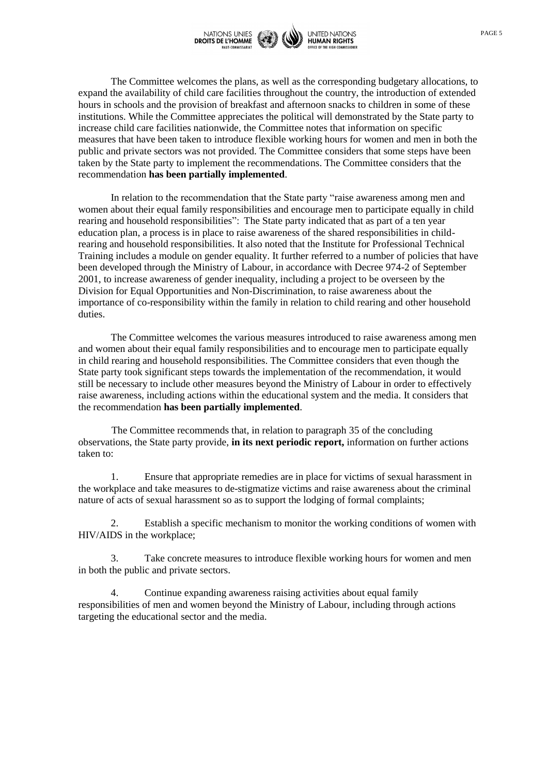

PAGE 5

The Committee welcomes the plans, as well as the corresponding budgetary allocations, to expand the availability of child care facilities throughout the country, the introduction of extended hours in schools and the provision of breakfast and afternoon snacks to children in some of these institutions. While the Committee appreciates the political will demonstrated by the State party to increase child care facilities nationwide, the Committee notes that information on specific measures that have been taken to introduce flexible working hours for women and men in both the public and private sectors was not provided. The Committee considers that some steps have been taken by the State party to implement the recommendations. The Committee considers that the recommendation **has been partially implemented**.

In relation to the recommendation that the State party "raise awareness among men and women about their equal family responsibilities and encourage men to participate equally in child rearing and household responsibilities": The State party indicated that as part of a ten year education plan, a process is in place to raise awareness of the shared responsibilities in childrearing and household responsibilities. It also noted that the Institute for Professional Technical Training includes a module on gender equality. It further referred to a number of policies that have been developed through the Ministry of Labour, in accordance with Decree 974-2 of September 2001, to increase awareness of gender inequality, including a project to be overseen by the Division for Equal Opportunities and Non-Discrimination, to raise awareness about the importance of co-responsibility within the family in relation to child rearing and other household duties.

The Committee welcomes the various measures introduced to raise awareness among men and women about their equal family responsibilities and to encourage men to participate equally in child rearing and household responsibilities. The Committee considers that even though the State party took significant steps towards the implementation of the recommendation, it would still be necessary to include other measures beyond the Ministry of Labour in order to effectively raise awareness, including actions within the educational system and the media. It considers that the recommendation **has been partially implemented**.

The Committee recommends that, in relation to paragraph 35 of the concluding observations, the State party provide, **in its next periodic report,** information on further actions taken to:

1. Ensure that appropriate remedies are in place for victims of sexual harassment in the workplace and take measures to de-stigmatize victims and raise awareness about the criminal nature of acts of sexual harassment so as to support the lodging of formal complaints;

2. Establish a specific mechanism to monitor the working conditions of women with HIV/AIDS in the workplace;

3. Take concrete measures to introduce flexible working hours for women and men in both the public and private sectors.

4. Continue expanding awareness raising activities about equal family responsibilities of men and women beyond the Ministry of Labour, including through actions targeting the educational sector and the media.